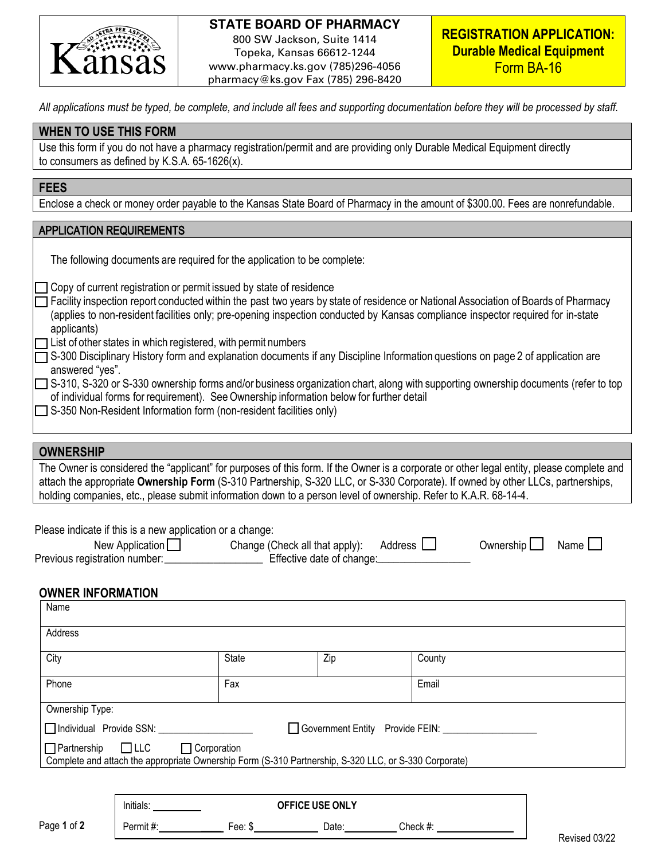

# **STATE BOARD OF PHARMACY**

800 SW Jackson, Suite 1414 Topeka, Kansas 66612-1244 www.pharmacy.ks.gov (785)296-4056 pharmacy@ks.gov Fax (785) 296-8420

*All applications must be typed, be complete, and include all fees and supporting documentation before they will be processed by staff.* 

# **WHEN TO USE THIS FORM**

| Use this form if you do not have a pharmacy registration/permit and are providing only Durable Medical Equipment directly |  |
|---------------------------------------------------------------------------------------------------------------------------|--|
| to consumers as defined by K.S.A. $65-1626(x)$ .                                                                          |  |

### **FEES**

Enclose a check or money order payable to the Kansas State Board of Pharmacy in the amount of \$300.00. Fees are nonrefundable.

### APPLICATION REQUIREMENTS

|  | The following documents are required for the application to be complete: |  |
|--|--------------------------------------------------------------------------|--|
|  |                                                                          |  |

**T** Copy of current registration or permit issued by state of residence

- Facility inspection report conducted within the past two years by state of residence or National Association of Boards of Pharmacy (applies to non-resident facilities only; pre-opening inspection conducted by Kansas compliance inspector required for in-state applicants)
- $\Box$  List of other states in which registered, with permit numbers
- S-300 Disciplinary History form and explanation documents if any Discipline Information questions on page 2 of application are answered "yes".
- S-310, S-320 or S-330 ownership forms and/or business organization chart, along with supporting ownership documents (refer to top of individual forms for requirement). See Ownership information below for further detail
- $\Box$  S-350 Non-Resident Information form (non-resident facilities only)

#### **OWNERSHIP**

The Owner is considered the "applicant" for purposes of this form. If the Owner is a corporate or other legal entity, please complete and attach the appropriate **Ownership Form** (S-310 Partnership, S-320 LLC, or S-330 Corporate). If owned by other LLCs, partnerships, holding companies, etc., please submit information down to a person level of ownership. Refer to K.A.R. 68-14-4.

| Please indicate if this is a new application or a change: |                                               |                  |                  |
|-----------------------------------------------------------|-----------------------------------------------|------------------|------------------|
| New Application $\Box$                                    | Change (Check all that apply): Address $\Box$ | Ownership $\Box$ | Name $\bigsqcup$ |
| Previous registration number:                             | Effective date of change:                     |                  |                  |

## **OWNER INFORMATION**

| Name                                                                                                                                                            |              |     |        |  |
|-----------------------------------------------------------------------------------------------------------------------------------------------------------------|--------------|-----|--------|--|
| Address                                                                                                                                                         |              |     |        |  |
| City                                                                                                                                                            | <b>State</b> | Zip | County |  |
| Phone                                                                                                                                                           | Fax          |     | Email  |  |
| Ownership Type:                                                                                                                                                 |              |     |        |  |
| Individual Provide SSN: _____<br>Government Entity Provide FEIN: ___                                                                                            |              |     |        |  |
| $\Box$ LLC<br>$\Box$ Partnership<br>$\Box$ Corporation<br>Complete and attach the appropriate Ownership Form (S-310 Partnership, S-320 LLC, or S-330 Corporate) |              |     |        |  |
|                                                                                                                                                                 |              |     |        |  |

|             | Initials: |            | OFFICE USE ONLY |          |
|-------------|-----------|------------|-----------------|----------|
| Page 1 of 2 | Permit#:  | Fee:<br>Π. | Date            | Check #: |